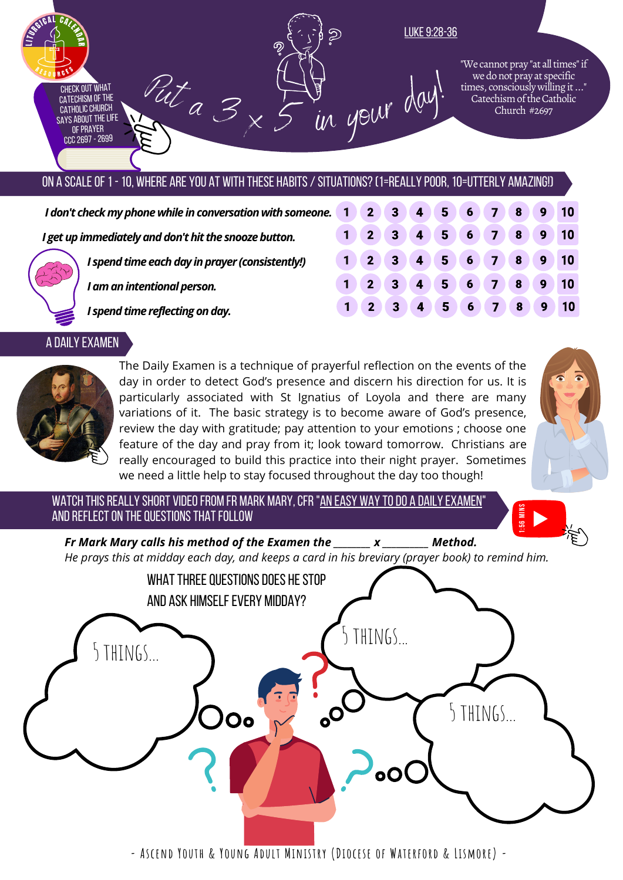

# ON A SCALE OF 1 - 10, WHERE ARE YOU AT WITH THESE HABITS / SITUATIONS? (1=REALLY POOR, 10=UTTERLY AMAZING!)

| I don't check my phone while in conversation with someone. 1 |                                                 | $\overline{2}$ | $\sqrt{3}$                                       |                   | (4) 5 (6) 7 (8) |              |   | $\overline{9}$   | $\blacksquare$ 10 |
|--------------------------------------------------------------|-------------------------------------------------|----------------|--------------------------------------------------|-------------------|-----------------|--------------|---|------------------|-------------------|
| I get up immediately and don't hit the snooze button.        |                                                 |                | 3 <sup>1</sup>                                   | $4 \mid 5 \mid 6$ |                 | (7)          | 8 | $\overline{9}$   | $\big)$ 10        |
|                                                              | I spend time each day in prayer (consistently!) |                | $\begin{array}{ c c c }\n\hline\n3\n\end{array}$ |                   |                 |              |   |                  |                   |
|                                                              | I am an intentional person.                     | 2 <sup>1</sup> | $-3$                                             | $4 \mid 5 \mid 6$ |                 | $\mathbf{Z}$ | 8 | $\boldsymbol{9}$ | 10                |
|                                                              | I spend time reflecting on day.                 |                |                                                  | 4 <sup>6</sup>    | $6\phantom{1}6$ | (7)          | 8 | $\boldsymbol{9}$ | $\blacksquare$ 10 |

#### A Daily Examen



The Daily Examen is a technique of prayerful reflection on the events of the day in order to detect God's presence and discern his direction for us. It is particularly associated with St Ignatius of Loyola and there are many variations of it. The basic strategy is to become aware of God's presence, review the day with gratitude; pay attention to your emotions ; choose one feature of the day and pray from it; look toward tomorrow. Christians are really encouraged to build this practice into their night prayer. Sometimes we need a little help to stay focused throughout the day too though!



WATCH THIS REALLY SHORT VIDEO FROM FR MARK MARY, CFR "AN EASY WAY TO DO A DAILY EXAMEN" AND REFLECT ON THE QUESTIONS THAT FOLLOW



He prays this at midday each day, and keeps a card in his breviary (prayer book) to remind him. *Fr Mark Mary calls his method of the Examen the \_\_\_\_\_\_\_\_ x \_\_\_\_\_\_\_\_\_\_ Method.*



**- Ascend Youth & Young Adult Ministry (Diocese of Waterford & Lismore) -**